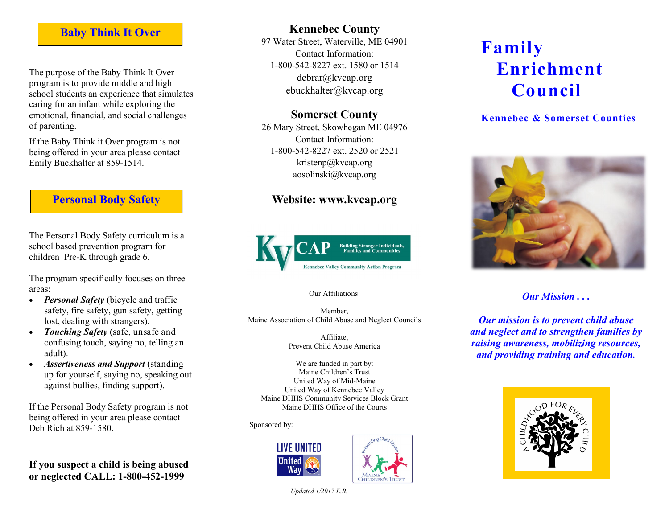# **Baby Think It Over**

The purpose of the Baby Think It Over program is to provide middle and high school students an experience that simulates caring for an infant while exploring the emotional, financial, and social challenges of parenting.

If the Baby Think it Over program is not being offered in your area please contact Emily Buckhalter at 859-1514.

## **Personal Body Safety**

The Personal Body Safety curriculum is a school based prevention program for children Pre-K through grade 6.

The program specifically focuses on three areas:

- *Personal Safety* (bicycle and traffic safety, fire safety, gun safety, getting lost, dealing with strangers).
- *Touching Safety* (safe, unsafe and confusing touch, saying no, telling an adult).
- *Assertiveness and Support* (standing up for yourself, saying no, speaking out against bullies, finding support).

If the Personal Body Safety program is not being offered in your area please contact Deb Rich at 859-1580.

**If you suspect a child is being abused or neglected CALL: 1-800-452-1999**

# **Kennebec County**

97 Water Street, Waterville, ME 04901 Contact Information: 1-800-542-8227 ext. 1580 or 1514 debrar@kvcap.org ebuckhalter@kvcap.org

## **Somerset County**

26 Mary Street, Skowhegan ME 04976 Contact Information: 1-800-542-8227 ext. 2520 or 2521 kristenp@kvcap.org aosolinski@kvcap.org

## **Website: www.kvcap.org**



### Our Affiliations:

Member, Maine Association of Child Abuse and Neglect Councils

> Affiliate, Prevent Child Abuse America

We are funded in part by: Maine Children's Trust United Way of Mid-Maine United Way of Kennebec Valley Maine DHHS Community Services Block Grant Maine DHHS Office of the Courts

Sponsored by:





## **Kennebec & Somerset Counties**



*Our Mission . . .*

*Our mission is to prevent child abuse and neglect and to strengthen families by raising awareness, mobilizing resources, and providing training and education.*